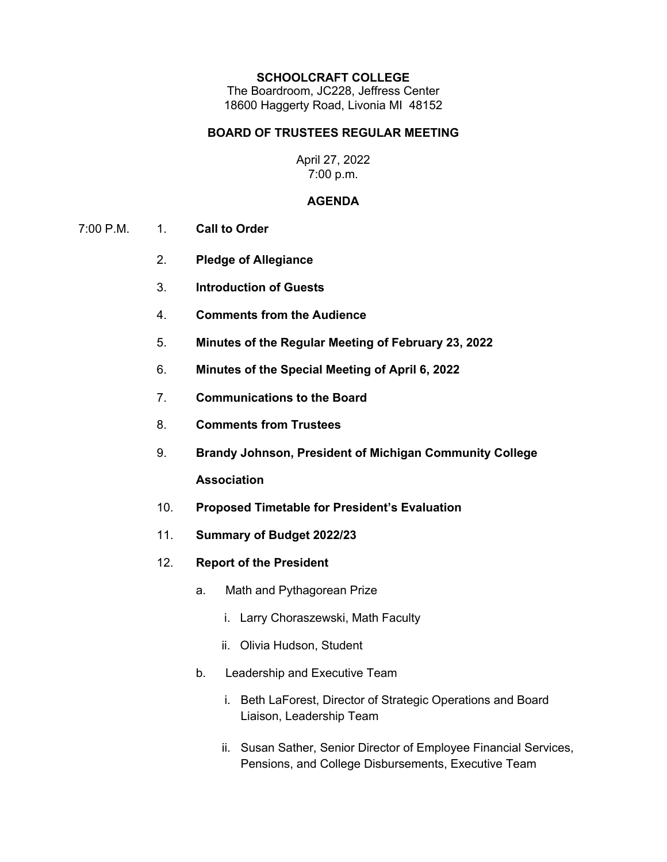#### **SCHOOLCRAFT COLLEGE**

The Boardroom, JC228, Jeffress Center 18600 Haggerty Road, Livonia MI 48152

### **BOARD OF TRUSTEES REGULAR MEETING**

### April 27, 2022 7:00 p.m.

### **AGENDA**

- 7:00 P.M. 1. **Call to Order**
	- 2. **Pledge of Allegiance**
	- 3. **Introduction of Guests**
	- 4. **Comments from the Audience**
	- 5. **Minutes of the Regular Meeting of February 23, 2022**
	- 6. **Minutes of the Special Meeting of April 6, 2022**
	- 7. **Communications to the Board**
	- 8. **Comments from Trustees**
	- 9. **Brandy Johnson, President of Michigan Community College Association**
	- 10. **Proposed Timetable for President's Evaluation**
	- 11. **Summary of Budget 2022/23**
	- 12. **Report of the President**
		- a. Math and Pythagorean Prize
			- i. Larry Choraszewski, Math Faculty
			- ii. Olivia Hudson, Student
		- b. Leadership and Executive Team
			- i. Beth LaForest, Director of Strategic Operations and Board Liaison, Leadership Team
			- ii. Susan Sather, Senior Director of Employee Financial Services, Pensions, and College Disbursements, Executive Team